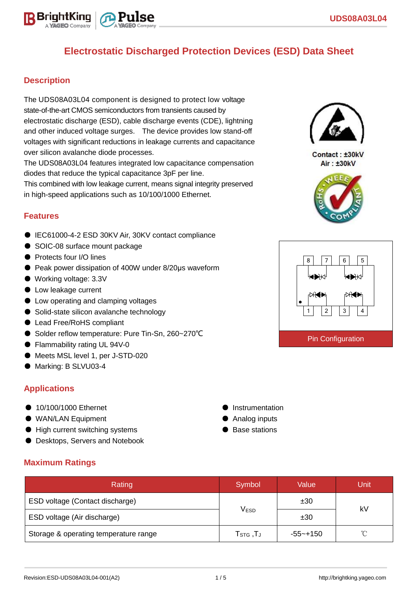

# **Electrostatic Discharged Protection Devices (ESD) Data Sheet**

### **Description**

The UDS08A03L04 component is designed to protect low voltage state-of-the-art CMOS semiconductors from transients caused by electrostatic discharge (ESD), cable discharge events (CDE), lightning and other induced voltage surges. The device provides low stand-off voltages with significant reductions in leakage currents and capacitance over silicon avalanche diode processes.

The UDS08A03L04 features integrated low capacitance compensation diodes that reduce the typical capacitance 3pF per line.

This combined with low leakage current, means signal integrity preserved in high-speed applications such as 10/100/1000 Ethernet.

#### **Features**

- IEC61000-4-2 ESD 30KV Air, 30KV contact compliance
- SOIC-08 surface mount package
- Protects four I/O lines
- Peak power dissipation of 400W under 8/20µs waveform
- Working voltage: 3.3V
- Low leakage current
- Low operating and clamping voltages
- Solid-state silicon avalanche technology
- Lead Free/RoHS compliant
- Solder reflow temperature: Pure Tin-Sn, 260~270°C
- Flammability rating UL 94V-0
- Meets MSL level 1, per J-STD-020
- Marking: B SLVU03-4

### **Applications**

- 10/100/1000 Ethernet
- WAN/LAN Equipment
- High current switching systems
- Desktops, Servers and Notebook
- Instrumentation
- Analog inputs
- Base stations

| <b>Maximum Ratings</b> |  |
|------------------------|--|
|                        |  |

| Rating                                | Symbol                          | Value    | Unit       |  |
|---------------------------------------|---------------------------------|----------|------------|--|
| ESD voltage (Contact discharge)       |                                 | ±30      | kV         |  |
| ESD voltage (Air discharge)           | V <sub>ESD</sub>                | ±30      |            |  |
| Storage & operating temperature range | $\mathsf{T}_{\texttt{STG}}$ ,T」 | -55~+150 | $^{\circ}$ |  |



Contact: ±30kV Air: ±30kV



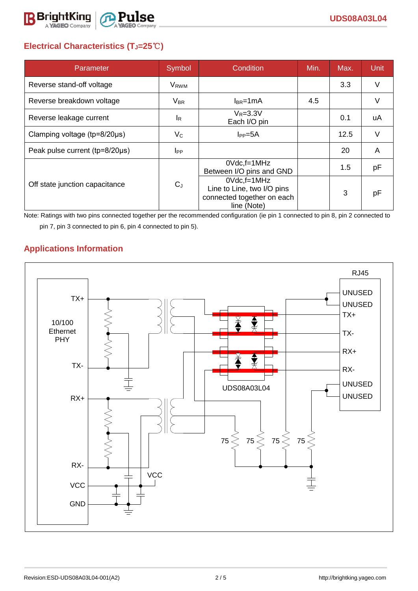

## **Electrical Characteristics (TJ=25**℃**)**

| Parameter                              | Symbol                  | Condition                                                                                     | Min. | Max. | Unit   |
|----------------------------------------|-------------------------|-----------------------------------------------------------------------------------------------|------|------|--------|
| Reverse stand-off voltage              | <b>V</b> <sub>RWM</sub> |                                                                                               |      | 3.3  | V      |
| Reverse breakdown voltage              | $V_{BR}$                | $I_{BR}$ =1mA                                                                                 | 4.5  |      | $\vee$ |
| Reverse leakage current                | <b>I</b> R              | $V_R = 3.3V$<br>Each I/O pin                                                                  |      | 0.1  | uA     |
| Clamping voltage ( $tp = 8/20 \mu s$ ) | $V_{\rm C}$             | $I_{PP}=5A$                                                                                   |      | 12.5 | V      |
| Peak pulse current (tp=8/20µs)         | I <sub>PP</sub>         |                                                                                               |      | 20   | A      |
|                                        |                         | $0Vdc$ , f=1 $MHz$<br>Between I/O pins and GND                                                |      | 1.5  | pF     |
| Off state junction capacitance         | $C_J$                   | $0Vdc$ , f=1 $MHz$<br>Line to Line, two I/O pins<br>connected together on each<br>line (Note) |      | 3    | рF     |

Note: Ratings with two pins connected together per the recommended configuration (ie pin 1 connected to pin 8, pin 2 connected to pin 7, pin 3 connected to pin 6, pin 4 connected to pin 5).

### **Applications Information**

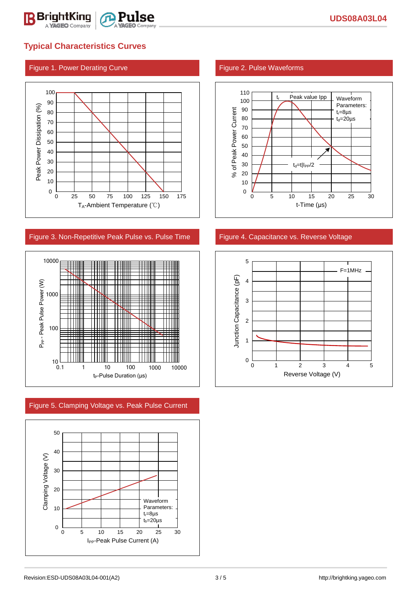

# **Typical Characteristics Curves**

### Figure 1. Power Derating Curve Figure 2. Pulse Waveforms



#### Figure 3. Non-Repetitive Peak Pulse vs. Pulse Time Figure 4. Capacitance vs. Reverse Voltage



Figure 5. Clamping Voltage vs. Peak Pulse Current





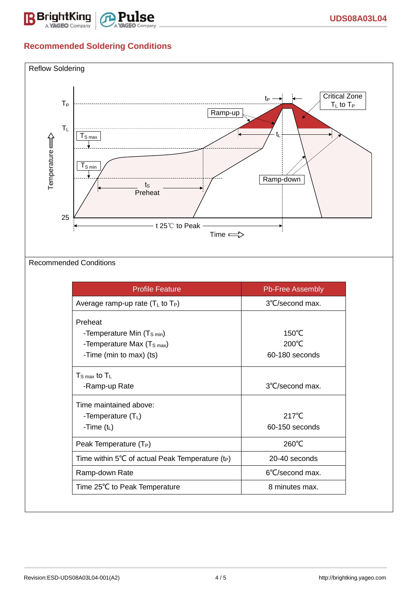

## **Recommended Soldering Conditions**